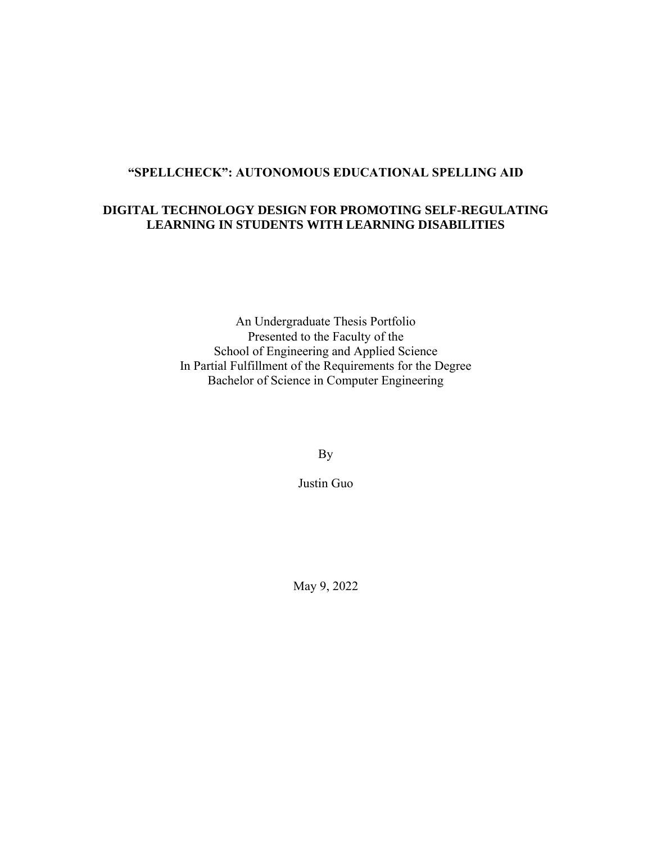# **"SPELLCHECK": AUTONOMOUS EDUCATIONAL SPELLING AID**

#### **DIGITAL TECHNOLOGY DESIGN FOR PROMOTING SELF-REGULATING LEARNING IN STUDENTS WITH LEARNING DISABILITIES**

An Undergraduate Thesis Portfolio Presented to the Faculty of the School of Engineering and Applied Science In Partial Fulfillment of the Requirements for the Degree Bachelor of Science in Computer Engineering

By

Justin Guo

May 9, 2022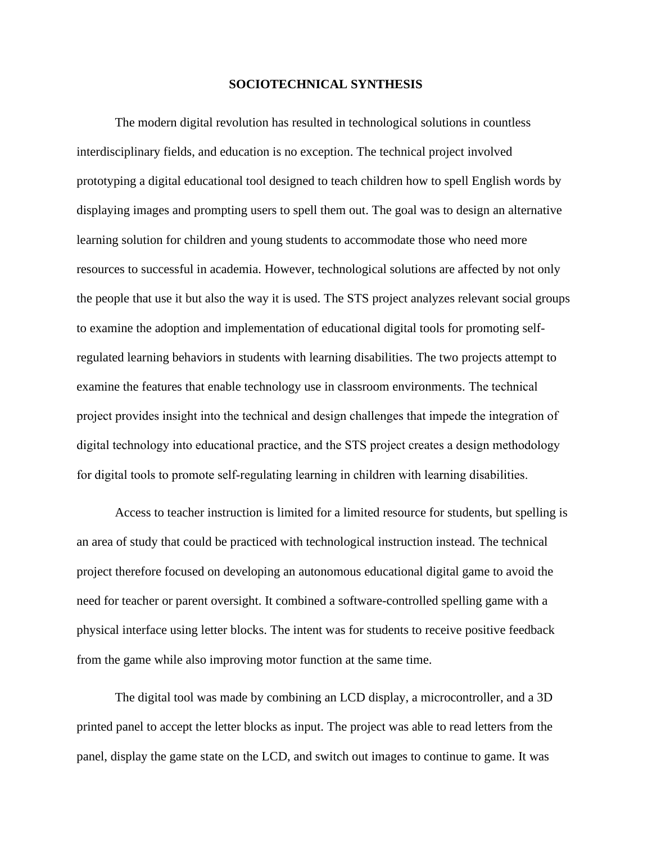#### **SOCIOTECHNICAL SYNTHESIS**

The modern digital revolution has resulted in technological solutions in countless interdisciplinary fields, and education is no exception. The technical project involved prototyping a digital educational tool designed to teach children how to spell English words by displaying images and prompting users to spell them out. The goal was to design an alternative learning solution for children and young students to accommodate those who need more resources to successful in academia. However, technological solutions are affected by not only the people that use it but also the way it is used. The STS project analyzes relevant social groups to examine the adoption and implementation of educational digital tools for promoting selfregulated learning behaviors in students with learning disabilities. The two projects attempt to examine the features that enable technology use in classroom environments. The technical project provides insight into the technical and design challenges that impede the integration of digital technology into educational practice, and the STS project creates a design methodology for digital tools to promote self-regulating learning in children with learning disabilities.

Access to teacher instruction is limited for a limited resource for students, but spelling is an area of study that could be practiced with technological instruction instead. The technical project therefore focused on developing an autonomous educational digital game to avoid the need for teacher or parent oversight. It combined a software-controlled spelling game with a physical interface using letter blocks. The intent was for students to receive positive feedback from the game while also improving motor function at the same time.

The digital tool was made by combining an LCD display, a microcontroller, and a 3D printed panel to accept the letter blocks as input. The project was able to read letters from the panel, display the game state on the LCD, and switch out images to continue to game. It was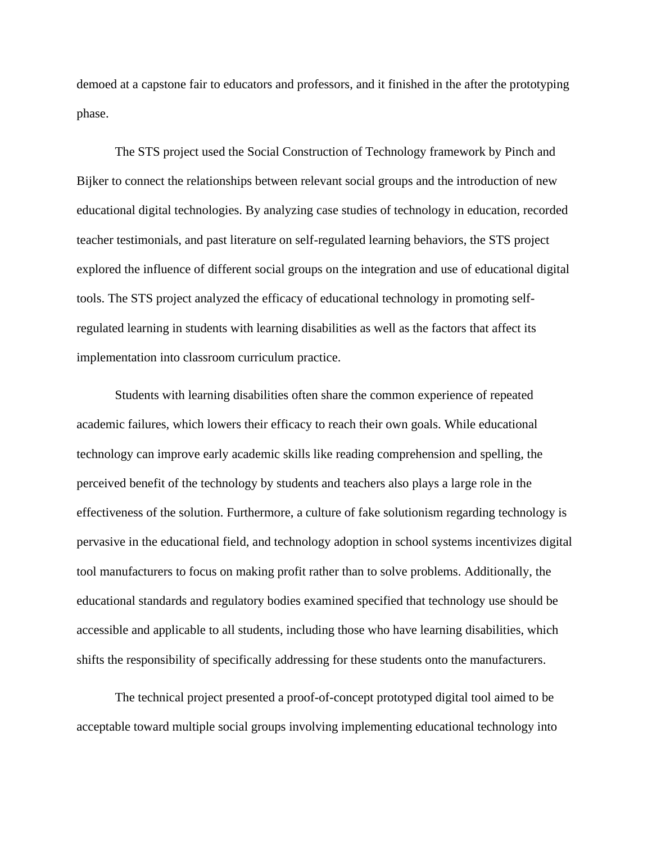demoed at a capstone fair to educators and professors, and it finished in the after the prototyping phase.

The STS project used the Social Construction of Technology framework by Pinch and Bijker to connect the relationships between relevant social groups and the introduction of new educational digital technologies. By analyzing case studies of technology in education, recorded teacher testimonials, and past literature on self-regulated learning behaviors, the STS project explored the influence of different social groups on the integration and use of educational digital tools. The STS project analyzed the efficacy of educational technology in promoting selfregulated learning in students with learning disabilities as well as the factors that affect its implementation into classroom curriculum practice.

Students with learning disabilities often share the common experience of repeated academic failures, which lowers their efficacy to reach their own goals. While educational technology can improve early academic skills like reading comprehension and spelling, the perceived benefit of the technology by students and teachers also plays a large role in the effectiveness of the solution. Furthermore, a culture of fake solutionism regarding technology is pervasive in the educational field, and technology adoption in school systems incentivizes digital tool manufacturers to focus on making profit rather than to solve problems. Additionally, the educational standards and regulatory bodies examined specified that technology use should be accessible and applicable to all students, including those who have learning disabilities, which shifts the responsibility of specifically addressing for these students onto the manufacturers.

The technical project presented a proof-of-concept prototyped digital tool aimed to be acceptable toward multiple social groups involving implementing educational technology into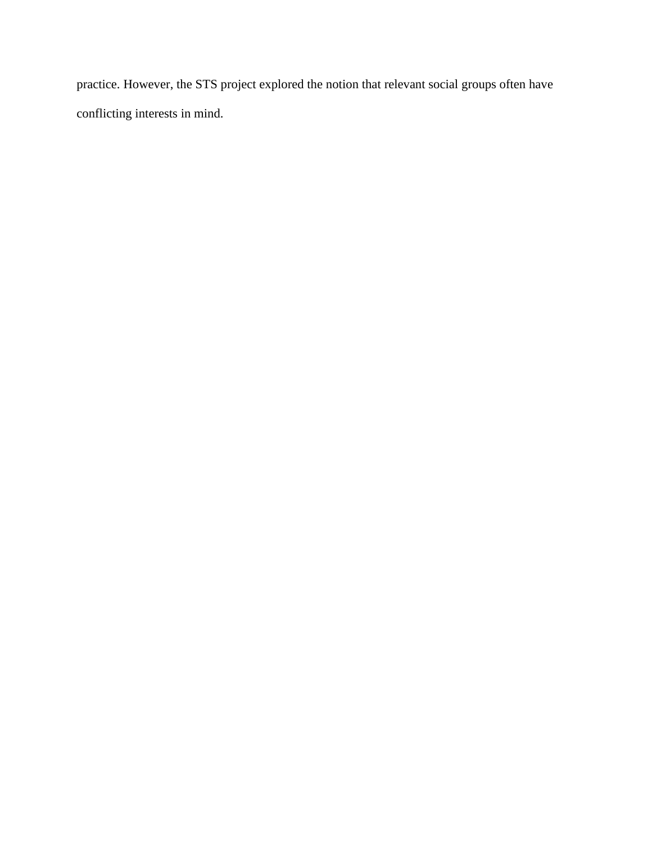practice. However, the STS project explored the notion that relevant social groups often have conflicting interests in mind.